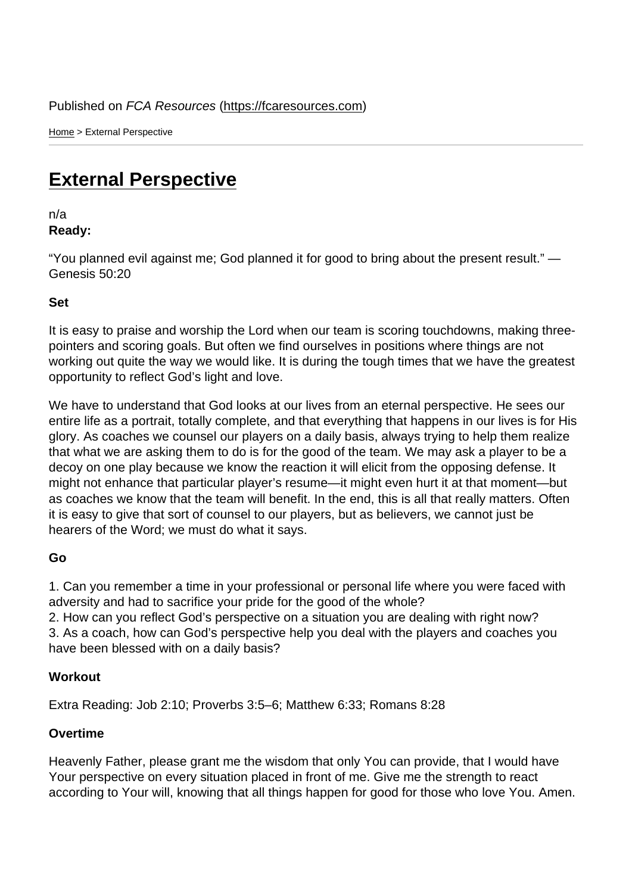Home > External Perspective

## [Ext](https://fcaresources.com/)ernal Perspective

n/a [Ready:](https://fcaresources.com/devotional/external-perspective) 

"You planned evil against me; God planned it for good to bring about the present result." — Genesis 50:20

Set

It is easy to praise and worship the Lord when our team is scoring touchdowns, making threepointers and scoring goals. But often we find ourselves in positions where things are not working out quite the way we would like. It is during the tough times that we have the greatest opportunity to reflect God's light and love.

We have to understand that God looks at our lives from an eternal perspective. He sees our entire life as a portrait, totally complete, and that everything that happens in our lives is for His glory. As coaches we counsel our players on a daily basis, always trying to help them realize that what we are asking them to do is for the good of the team. We may ask a player to be a decoy on one play because we know the reaction it will elicit from the opposing defense. It might not enhance that particular player's resume—it might even hurt it at that moment—but as coaches we know that the team will benefit. In the end, this is all that really matters. Often it is easy to give that sort of counsel to our players, but as believers, we cannot just be hearers of the Word; we must do what it says.

Go

1. Can you remember a time in your professional or personal life where you were faced with adversity and had to sacrifice your pride for the good of the whole?

2. How can you reflect God's perspective on a situation you are dealing with right now? 3. As a coach, how can God's perspective help you deal with the players and coaches you have been blessed with on a daily basis?

**Workout** 

Extra Reading: Job 2:10; Proverbs 3:5–6; Matthew 6:33; Romans 8:28

**Overtime** 

Heavenly Father, please grant me the wisdom that only You can provide, that I would have Your perspective on every situation placed in front of me. Give me the strength to react according to Your will, knowing that all things happen for good for those who love You. Amen.